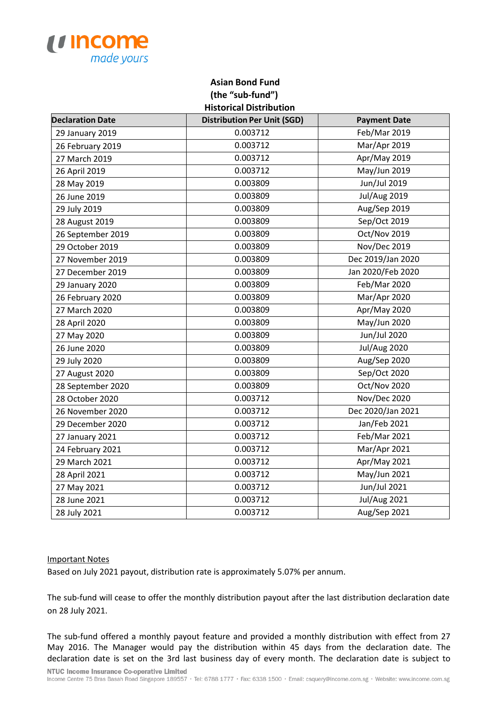

## **Asian Bond Fund (the "sub-fund") Historical Distribution**

| <b>Declaration Date</b> | <b>Distribution Per Unit (SGD)</b> | <b>Payment Date</b> |
|-------------------------|------------------------------------|---------------------|
| 29 January 2019         | 0.003712                           | Feb/Mar 2019        |
| 26 February 2019        | 0.003712                           | Mar/Apr 2019        |
| 27 March 2019           | 0.003712                           | Apr/May 2019        |
| 26 April 2019           | 0.003712                           | May/Jun 2019        |
| 28 May 2019             | 0.003809                           | Jun/Jul 2019        |
| 26 June 2019            | 0.003809                           | <b>Jul/Aug 2019</b> |
| 29 July 2019            | 0.003809                           | Aug/Sep 2019        |
| 28 August 2019          | 0.003809                           | Sep/Oct 2019        |
| 26 September 2019       | 0.003809                           | Oct/Nov 2019        |
| 29 October 2019         | 0.003809                           | Nov/Dec 2019        |
| 27 November 2019        | 0.003809                           | Dec 2019/Jan 2020   |
| 27 December 2019        | 0.003809                           | Jan 2020/Feb 2020   |
| 29 January 2020         | 0.003809                           | Feb/Mar 2020        |
| 26 February 2020        | 0.003809                           | Mar/Apr 2020        |
| 27 March 2020           | 0.003809                           | Apr/May 2020        |
| 28 April 2020           | 0.003809                           | May/Jun 2020        |
| 27 May 2020             | 0.003809                           | Jun/Jul 2020        |
| 26 June 2020            | 0.003809                           | <b>Jul/Aug 2020</b> |
| 29 July 2020            | 0.003809                           | Aug/Sep 2020        |
| 27 August 2020          | 0.003809                           | Sep/Oct 2020        |
| 28 September 2020       | 0.003809                           | Oct/Nov 2020        |
| 28 October 2020         | 0.003712                           | Nov/Dec 2020        |
| 26 November 2020        | 0.003712                           | Dec 2020/Jan 2021   |
| 29 December 2020        | 0.003712                           | Jan/Feb 2021        |
| 27 January 2021         | 0.003712                           | Feb/Mar 2021        |
| 24 February 2021        | 0.003712                           | Mar/Apr 2021        |
| 29 March 2021           | 0.003712                           | Apr/May 2021        |
| 28 April 2021           | 0.003712                           | May/Jun 2021        |
| 27 May 2021             | 0.003712                           | Jun/Jul 2021        |
| 28 June 2021            | 0.003712                           | <b>Jul/Aug 2021</b> |
| 28 July 2021            | 0.003712                           | Aug/Sep 2021        |

## Important Notes

Based on July 2021 payout, distribution rate is approximately 5.07% per annum.

The sub-fund will cease to offer the monthly distribution payout after the last distribution declaration date on 28 July 2021.

The sub-fund offered a monthly payout feature and provided a monthly distribution with effect from 27 May 2016. The Manager would pay the distribution within 45 days from the declaration date. The declaration date is set on the 3rd last business day of every month. The declaration date is subject to NTUC Income Insurance Co-operative Limited